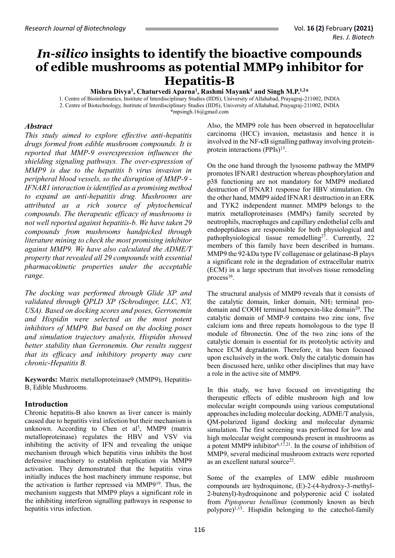# *In-silico* **insights to identify the bioactive compounds of edible mushrooms as potential MMP9 inhibitor for Hepatitis-B**

**Mishra Divya<sup>1</sup> , Chaturvedi Aparna<sup>1</sup> , Rashmi Mayank<sup>1</sup> and Singh M.P.1,2\***

1. Centre of Bioinformatics, Institute of Interdisciplinary Studies (IIDS), University of Allahabad, Prayagraj-211002, INDIA 2. Centre of Biotechnology, Institute of Interdisciplinary Studies (IIDS), University of Allahabad, Prayagraj-211002, INDIA [\\*mpsingh.16@gmail.com](mailto:mpsingh.16@gmail.com)

## *Abstract*

*This study aimed to explore effective anti-hepatitis drugs formed from edible mushroom compounds. It is reported that MMP-9 overexpression influences the shielding signaling pathways. The over-expression of MMP9 is due to the hepatitis b virus invasion in peripheral blood vessels, so the disruption of MMP-9 - IFNAR1 interaction is identified as a promising method to expand an anti-hepatitis drug. Mushrooms are attributed as a rich source of phytochemical compounds. The therapeutic efficacy of mushrooms is not well reported against hepatitis-b. We have taken 29 compounds from mushrooms handpicked through literature mining to check the most promising inhibitor against MMP9. We have also calculated the ADME/T property that revealed all 29 compounds with essential pharmacokinetic properties under the acceptable range.* 

*The docking was performed through Glide XP and validated through QPLD XP (Schrodinger, LLC, NY, USA). Based on docking scores and poses, Gerronemin and Hispidin were selected as the most potent inhibitors of MMP9. But based on the docking poses and simulation trajectory analysis, Hispidin showed better stability than Gerronemin. Our results suggest that its efficacy and inhibitory property may cure chronic-Hepatitis B.*

**Keywords:** Matrix metalloproteinase9 (MMP9), Hepatitis-B, Edible Mushrooms.

## **Introduction**

Chronic hepatitis-B also known as liver cancer is mainly caused due to hepatitis viral infection but their mechanism is unknown. According to Chen et  $al^5$ , MMP9 (matrix metalloproteinase) regulates the HBV and VSV via inhibiting the activity of IFN and revealing the unique mechanism through which hepatitis virus inhibits the host defensive machinery to establish replication via MMP9 activation. They demonstrated that the hepatitis virus initially induces the host machinery immune response, but the activation is further repressed via MMP9<sup>19</sup>. Thus, the mechanism suggests that MMP9 plays a significant role in the inhibiting interferon signalling pathways in response to hepatitis virus infection.

Also, the MMP9 role has been observed in hepatocellular carcinoma (HCC) invasion, metastasis and hence it is involved in the NF-κB signalling pathway involving proteinprotein interactions (PPIs)<sup>13</sup>.

On the one hand through the lysosome pathway the MMP9 promotes IFNAR1 destruction whereas phosphorylation and p38 functioning are not mandatory for MMP9 mediated destruction of IFNAR1 response for HBV stimulation. On the other hand, MMP9 aided IFNAR1 destruction in an ERK and TYK2 independent manner. MMP9 belongs to the matrix metalloproteinases (MMPs) family secreted by neutrophils, macrophages and capillary endothelial cells and endopeptidases are responsible for both physiological and pathophysiological tissue remodelling<sup>27</sup>. Currently, 22 members of this family have been described in humans. MMP9 the 92-kDa type IV collagenase or gelatinase-B plays a significant role in the degradation of extracellular matrix (ECM) in a large spectrum that involves tissue remodeling process $16$ .

The structural analysis of MMP9 reveals that it consists of the catalytic domain, linker domain,  $NH<sub>2</sub>$  terminal prodomain and COOH terminal hemopexin-like domain<sup>20</sup>. The catalytic domain of MMP-9 contains two zinc ions, five calcium ions and three repeats homologous to the type II module of fibronectin. One of the two zinc ions of the catalytic domain is essential for its proteolytic activity and hence ECM degradation. Therefore, it has been focused upon exclusively in the work. Only the catalytic domain has been discussed here, unlike other disciplines that may have a role in the active site of MMP9.

In this study, we have focused on investigating the therapeutic effects of edible mushroom high and low molecular weight compounds using various computational approaches including molecular docking, ADME/T analysis, QM-polarized ligand docking and molecular dynamic simulation. The first screening was performed for low and high molecular weight compounds present in mushrooms as a potent MMP9 inhibitor $6,17,21$ . In the course of inhibition of MMP9, several medicinal mushroom extracts were reported as an excellent natural source<sup>22</sup>.

Some of the examples of LMW edible mushroom compounds are hydroquinone, (E)-2-(4-hydroxy-3-methyl-2-butenyl)-hydroquinone and polyporenic acid C isolated from *Piptoporus betullinus* (commonly known as birch polypore)<sup>1,15</sup>. Hispidin belonging to the catechol-family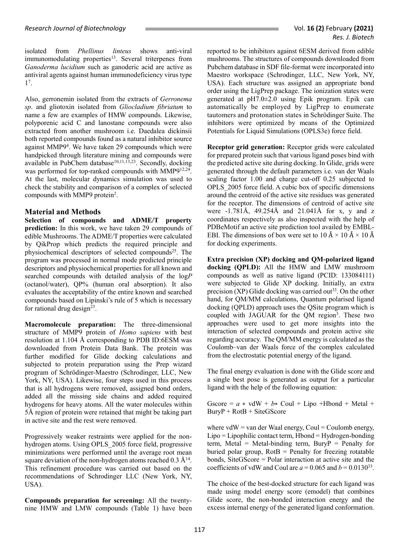isolated from *Phellinus linteus* shows anti-viral immunomodulating properties<sup>13</sup>. Several triterpenes from *Ganoderma lucidium* such as ganoderic acid are active as antiviral agents against human immunodeficiency virus type 1 7 .

Also, gerronemin isolated from the extracts of *Gerronema sp*. and gliotoxin isolated from *Gliocladium fibriatum* to name a few are examples of HMW compounds. Likewise, polyporenic acid C and lanostane compounds were also extracted from another mushroom i.e. Daedalea dickinsii both reported compounds found as a natural inhibitor source against MMP9<sup>4</sup> . We have taken 29 compounds which were handpicked through literature mining and compounds were available in PubChem database<sup>10,11,13,23</sup>. Secondly, docking was performed for top-ranked compounds with MMP9<sup>12,24</sup>. At the last, molecular dynamics simulation was used to check the stability and comparison of a complex of selected compounds with MMP9 protein<sup>2</sup>.

# **Material and Methods**

**Selection of compounds and ADME/T property prediction:** In this work, we have taken 29 compounds of edible Mushrooms. The ADME/T properties were calculated by QikProp which predicts the required principle and physiochemical descriptors of selected compounds<sup>25</sup>. The program was processed in normal mode predicted principle descriptors and physiochemical properties for all known and searched compounds with detailed analysis of the log*P* (octanol/water), QP% (human oral absorption). It also evaluates the acceptability of the entire known and searched compounds based on Lipinski's rule of 5 which is necessary for rational drug design<sup>23</sup>.

**Macromolecule preparation:** The three-dimensional structure of MMP9 protein of *Homo sapiens* with best resolution at 1.104 Å corresponding to PDB ID:6ESM was downloaded from Protein Data Bank. The protein was further modified for Glide docking calculations and subjected to protein preparation using the Prep wizard program of Schrödinger-Maestro (Schrodinger, LLC, New York, NY, USA). Likewise, four steps used in this process that is all hydrogens were removed, assigned bond orders, added all the missing side chains and added required hydrogens for heavy atoms. All the water molecules within 5Å region of protein were retained that might be taking part in active site and the rest were removed.

Progressively weaker restraints were applied for the nonhydrogen atoms. Using OPLS\_2005 force field, progressive minimizations were performed until the average root mean square deviation of the non-hydrogen atoms reached  $0.3 \text{ Å}^{14}$ . This refinement procedure was carried out based on the recommendations of Schrodinger LLC (New York, NY, USA).

**Compounds preparation for screening:** All the twentynine HMW and LMW compounds (Table 1) have been reported to be inhibitors against 6ESM derived from edible mushrooms. The structures of compounds downloaded from Pubchem database in SDF file-format were incorporated into Maestro workspace (Schrodinger, LLC, New York, NY, USA). Each structure was assigned an appropriate bond order using the LigPrep package. The ionization states were generated at pH7.0±2.0 using Epik program. Epik can automatically be employed by LigPrep to enumerate tautomers and protonation states in Schrödinger Suite. The inhibitors were optimized by means of the Optimized Potentials for Liquid Simulations (OPLS3e) force field.

**Receptor grid generation:** Receptor grids were calculated for prepared protein such that various ligand poses bind with the predicted active site during docking. In Glide, grids were generated through the default parameters i.e. van der Waals scaling factor 1.00 and charge cut-off 0.25 subjected to OPLS\_2005 force field. A cubic box of specific dimensions around the centroid of the active site residues was generated for the receptor. The dimensions of centroid of active site were -1.781Å, 49.254Å and 21.041Å for x, y and z coordinates respectively as also inspected with the help of PDBeMotif an active site prediction tool availed by EMBL-EBI. The dimensions of box were set to  $10 \text{ Å} \times 10 \text{ Å} \times 10 \text{ Å}$ for docking experiments.

**Extra precision (XP) docking and QM-polarized ligand docking (QPLD):** All the HMW and LMW mushroom compounds as well as native ligand (PCID: 133084111) were subjected to Glide XP docking. Initially, an extra precision  $(XP)$  Glide docking was carried out<sup>33</sup>. On the other hand, for QM/MM calculations, Quantum polarised ligand docking (QPLD) approach uses the QSite program which is coupled with JAGUAR for the QM region<sup>3</sup>. These two approaches were used to get more insights into the interaction of selected compounds and protein active site regarding accuracy. The QM/MM energy is calculated as the Coulomb–van der Waals force of the complex calculated from the electrostatic potential energy of the ligand.

The final energy evaluation is done with the Glide score and a single best pose is generated as output for a particular ligand with the help of the following equation:

Gscore =  $a * v dW + b * Coul + Lipo + Hbond + Metal +$ BuryP + RotB + SiteGScore

where  $vdW = van der Waal energy, Coul = Coulomb energy,$  $Lipo = Lipophilic contact term, Hbond = Hydrogen-bonding$ term, Metal = Metal-binding term, BuryP = Penalty for buried polar group,  $RotB = Penalty$  for freezing rotatable bonds, SiteGScore = Polar interaction at active site and the coefficients of vdW and Coul are  $a = 0.065$  and  $b = 0.0130^{33}$ .

The choice of the best-docked structure for each ligand was made using model energy score (emodel) that combines Glide score, the non-bonded interaction energy and the excess internal energy of the generated ligand conformation.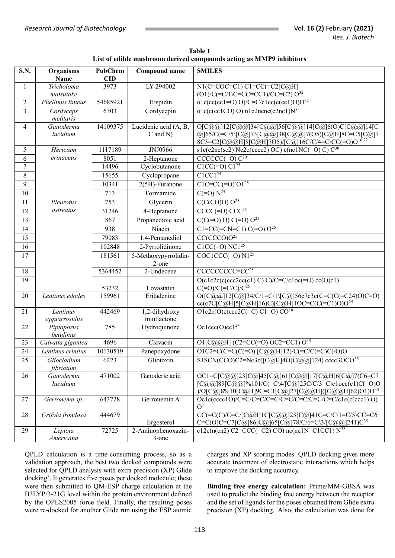| <b>Table 1</b>                                                      |
|---------------------------------------------------------------------|
| List of edible mushroom derived compounds acting as MMP9 inhibitors |

| S.N.           | Organisms<br>Name        | <b>PubChem</b><br>$\mathbf{CID}$ | Compound name                          | <b>SMILES</b>                                                                                                                                                                  |  |  |
|----------------|--------------------------|----------------------------------|----------------------------------------|--------------------------------------------------------------------------------------------------------------------------------------------------------------------------------|--|--|
| $\mathbf{1}$   | Tricholoma               | 3973                             | LY-294002                              | $\overline{\text{N1(C=COC=C1) C1=CC(=C2[CaH]}}$                                                                                                                                |  |  |
|                | matsutake                |                                  |                                        | $(O1)/C$ (=C/1\C=CC=CC1)/CC=C2) $O^{32}$                                                                                                                                       |  |  |
| $\overline{2}$ | Phellinus linteus        | 54685921                         | Hispidin                               | $o1c(cc(cc1=O) O)/C=C/c1\overline{cc(c(cc1)O)O^{32}}$                                                                                                                          |  |  |
| $\overline{3}$ | Cordyceps<br>melitaris   | 6303                             | Cordycepin                             | $olc(c(cc1CO) O) n1c2ncnc(c2nc1)N8$                                                                                                                                            |  |  |
| $\overline{4}$ | Ganoderma<br>lucidium    | 14109375                         | Lucidenic acid (A, B,<br>$C$ and $N$ ) | O[C@@]12[C@@]34[C@@]56[C@@]14[C@]6(O)C[C@@]14[C<br>@]65/C(=C/5\[C@]73[C@@]38[C@@]7(O5)[C@H]8C=C5[C@]7<br>8C3=C2[C@@H]8[C@H]7O5)/[C@]16C/C/4=C\CC(=O)O <sup>16,22</sup>         |  |  |
| 5              | Hericium                 | 1117189                          | JNJ0966                                | s1c(c2nc(sc2) Nc2c(cccc2) OC) c(nc1N $\overline{C(=)}$ C) $C^{30}$                                                                                                             |  |  |
| 6              | erinaceus                | 8051                             | 2-Heptanone                            | $CCCCC (=O) C29$                                                                                                                                                               |  |  |
| $\overline{7}$ |                          | 14496                            | Cyclobutanone                          | $C1CC(=0) C1^{25}$                                                                                                                                                             |  |  |
| $\,8\,$        |                          | 15655                            | Cyclopropane                           | C1CC1 <sup>25</sup>                                                                                                                                                            |  |  |
| 9              |                          | 10341                            | 2(5H)-Furanone                         | $C1C=CC(=O)$ $\overline{O1^{25}}$                                                                                                                                              |  |  |
| 10             |                          | 713                              | Formamide                              | $C(=0) N^{25}$                                                                                                                                                                 |  |  |
| 11             | Pleurotus                | 753                              | Glycerin                               | $C(C(CO)O) O^{25}$                                                                                                                                                             |  |  |
| 12             | ostreatus                | 31246                            | 4-Heptanone                            | $CCCC (=O) CCC25$                                                                                                                                                              |  |  |
| 13             |                          | 867                              | Propanedioic acid                      | $C(C(=0) 0) C(=0) 0^{25}$                                                                                                                                                      |  |  |
| 14             |                          | 938                              | Niacin                                 | $C1 = CC (= CN = C1) C (=O) O25$                                                                                                                                               |  |  |
| 15             |                          | 79083                            | 1,4-Pentanediol                        | CC(CCCO)O <sup>25</sup>                                                                                                                                                        |  |  |
| 16             |                          | 102848                           | 2-Pyrrolidinone                        | $C1CC(=O) NC1^{25}$                                                                                                                                                            |  |  |
| 17             |                          | 181561                           | 5-Methoxypyrrolidin-<br>2-one          | $COC1CCC(=0) N125$                                                                                                                                                             |  |  |
| 18             |                          | 5364452                          | 2-Undecene                             | CCCCCCCCC=CC <sup>25</sup>                                                                                                                                                     |  |  |
| 19             |                          |                                  |                                        | $O(c1c2c(c(ccc2cc(c1) C) C)/C=C/c1oc(=O) cc(O)c1)$                                                                                                                             |  |  |
|                |                          | 53232                            | Lovastatin                             | $C(=O)/C(=C/C)/C^{25}$                                                                                                                                                         |  |  |
| 20             | Lentinus edodes          | 159961                           | Eritadenine                            | $O([C@@]12[C@]34/C/1=C/1\backslash [C@]56c7c3c(C=C(C(C1C24)O)C=O)$<br>$cc(c7C[C@H]5[C@H]16)C[C@H]1OC=C(C(=C1)O)O25$                                                            |  |  |
| 21             | Lentinus                 | 442469                           | 1,2-dihydroxy                          | $O1c2c(O)c(ccc2C(=C) C1=O) CO^{18}$                                                                                                                                            |  |  |
|                | sqquarrosulus            |                                  | mintlactone                            |                                                                                                                                                                                |  |  |
| 22             | Piptoporus<br>betulinus  | 785                              | Hydroquinone                           | Oc1ccc(O)cc1 <sup>24</sup>                                                                                                                                                     |  |  |
| 23             | Calvatia gigantea        | 4696                             | Clavacin                               | O1[C@@H] (C2=CC(=O) OC2=CC1) O <sup>15</sup>                                                                                                                                   |  |  |
| 24             | Lentinus crinitus        | 10130519                         | Panepoxydone                           | O1C2=C(C=C(C(=O)[C@@H]12)/C(=C/C(=C)C)/O)O                                                                                                                                     |  |  |
| 25             | Gliocladium<br>fibriatum | 6223                             | Gliotoxin                              | S1SCN(CCO)C2=Nc3c([C@H]4O[C@@]124) cccc3OCO <sup>35</sup>                                                                                                                      |  |  |
| 26             | Ganoderma<br>lucidium    | 471002                           | Ganoderic acid                         | OC1=C[C@@]23[C@]45[C@]61[C@@]17[C@H]6[C@]7(C6=C7<br>$[C@@]89[C@@] \%101/C[=C\4/[C@]25C/C/3=C\c1occ(c1)C(=O)O$<br>)/O[C@]8%10[C@H]9C=C1[C@]27[C@@H]([C@@H]62)O1)O <sup>35</sup> |  |  |
| 27             | Gerronema sp.            | 643728                           | Gerronemin A                           | $Oc1c(cccc1O)/C=C/C=C/C=C/C=C/C=C/C=C/C=C/c1c(c(ccc1)O)$<br>$O^7$                                                                                                              |  |  |
| 28             | Grifola frondosa         | 444679                           | Ergosterol                             | $CC (=C(C)/C=C/[C@H] 1 C[C@@] 23[C@] 41 C=C/C/1=C/5\ CC=C6$<br>C=C(O)C=C7[C@]86[C@]65[C@]78/C/6=C\3/[C@@]241)C <sup>35</sup>                                                   |  |  |
| 29             | Lepiota                  | 72725                            | 2-Aminophenoxazin-                     | c12c(n(cn2) C2=CCC(=C2) CO) nc(nc1N=C1CC1) $N^{35}$                                                                                                                            |  |  |
|                | Americana                |                                  | $3$ -one                               |                                                                                                                                                                                |  |  |

QPLD calculation is a time-consuming process, so as a validation approach, the best two docked compounds were selected for QPLD analysis with extra precision (XP) Glide docking<sup>3</sup>. It generates five poses per docked molecule; these were then submitted to QM-ESP charge calculation at the B3LYP/3-21G level within the protein environment defined by the OPLS2005 force field. Finally, the resulting poses were re-docked for another Glide run using the ESP atomic

charges and XP scoring modes. QPLD docking gives more accurate treatment of electrostatic interactions which helps to improve the docking accuracy.

**Binding free energy calculation:** Prime/MM-GBSA was used to predict the binding free energy between the receptor and the set of ligands for the poses obtained from Glide extra precision (XP) docking. Also, the calculation was done for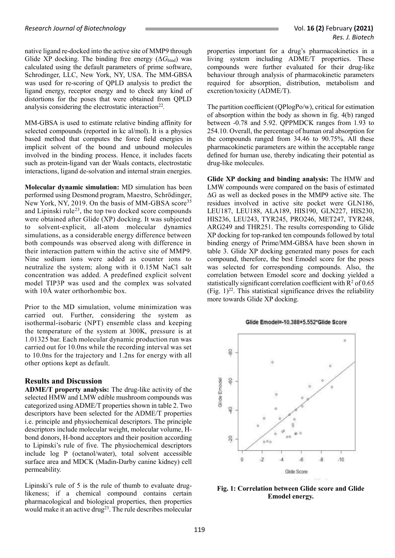native ligand re-docked into the active site of MMP9 through Glide XP docking. The binding free energy  $(\Delta G_{bind})$  was calculated using the default parameters of prime software, Schrodinger, LLC, New York, NY, USA. The MM-GBSA was used for re-scoring of QPLD analysis to predict the ligand energy, receptor energy and to check any kind of distortions for the poses that were obtained from QPLD analysis considering the electrostatic interaction<sup>22</sup>.

MM-GBSA is used to estimate relative binding affinity for selected compounds (reported in kc al/mol). It is a physics based method that computes the force field energies in implicit solvent of the bound and unbound molecules involved in the binding process. Hence, it includes facets such as protein-ligand van der Waals contacts, electrostatic interactions, ligand de-solvation and internal strain energies.

**Molecular dynamic simulation:** MD simulation has been performed using Desmond program, Maestro, Schrödinger, New York, NY, 2019. On the basis of MM-GBSA score<sup>35</sup> and Lipinski rule<sup>23</sup>, the top two docked score compounds were obtained after Glide (XP) docking. It was subjected to solvent-explicit, all-atom molecular dynamics simulations, as a considerable energy difference between both compounds was observed along with difference in their interaction pattern within the active site of MMP9. Nine sodium ions were added as counter ions to neutralize the system; along with it 0.15M NaCl salt concentration was added. A predefined explicit solvent model TIP3P was used and the complex was solvated with 10Å water orthorhombic box.

Prior to the MD simulation, volume minimization was carried out. Further, considering the system as isothermal-isobaric (NPT) ensemble class and keeping the temperature of the system at 300K, pressure is at 1.01325 bar. Each molecular dynamic production run was carried out for 10.0ns while the recording interval was set to 10.0ns for the trajectory and 1.2ns for energy with all other options kept as default.

## **Results and Discussion**

**ADME/T property analysis:** The drug-like activity of the selected HMW and LMW edible mushroom compounds was categorized using ADME/T properties shown in table 2. Two descriptors have been selected for the ADME/T properties i.e. principle and physiochemical descriptors. The principle descriptors include molecular weight, molecular volume, Hbond donors, H-bond acceptors and their position according to Lipinski's rule of five. The physiochemical descriptors include log P (octanol/water), total solvent accessible surface area and MDCK (Madin-Darby canine kidney) cell permeability.

Lipinski's rule of 5 is the rule of thumb to evaluate druglikeness; if a chemical compound contains certain pharmacological and biological properties, then properties would make it an active drug<sup>23</sup>. The rule describes molecular

properties important for a drug's pharmacokinetics in a living system including ADME/T properties. These compounds were further evaluated for their drug-like behaviour through analysis of pharmacokinetic parameters required for absorption, distribution, metabolism and excretion/toxicity (ADME/T).

The partition coefficient (QPlogPo/w), critical for estimation of absorption within the body as shown in fig. 4(b) ranged between -0.78 and 5.92. QPPMDCK ranges from 1.93 to 254.10. Overall, the percentage of human oral absorption for the compounds ranged from 34.46 to 90.75%. All these pharmacokinetic parameters are within the acceptable range defined for human use, thereby indicating their potential as drug-like molecules.

**Glide XP docking and binding analysis:** The HMW and LMW compounds were compared on the basis of estimated ΔG as well as docked poses in the MMP9 active site. The residues involved in active site pocket were GLN186, LEU187, LEU188, ALA189, HIS190, GLN227, HIS230, HIS236, LEU243, TYR245, PRO246, MET247, TYR248, ARG249 and THR251. The results corresponding to Glide XP docking for top-ranked ten compounds followed by total binding energy of Prime/MM-GBSA have been shown in table 3. Glide XP docking generated many poses for each compound, therefore, the best Emodel score for the poses was selected for corresponding compounds. Also, the correlation between Emodel score and docking yielded a statistically significant correlation coefficient with  $R<sup>2</sup>$  of 0.65 (Fig.  $1)^{22}$ . This statistical significance drives the reliability more towards Glide XP docking.

#### Glide Emodel=-10.388+5.552\*Glide Score



**Fig. 1: Correlation between Glide score and Glide Emodel energy.**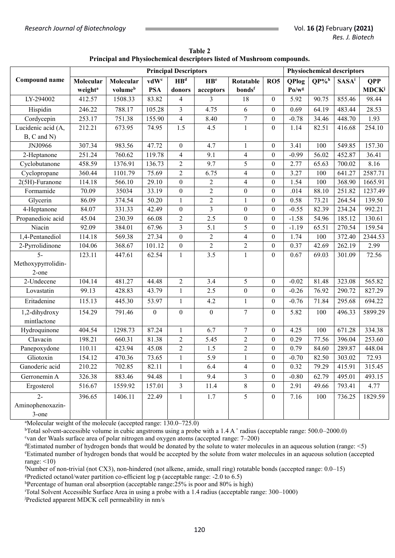|                    | <b>Principal Descriptors</b> |           |                  |                   |                          |                  |                  | <b>Physiochemical descriptors</b> |                     |                          |                          |
|--------------------|------------------------------|-----------|------------------|-------------------|--------------------------|------------------|------------------|-----------------------------------|---------------------|--------------------------|--------------------------|
| Compound name      | Molecular                    | Molecular | vdW <sup>c</sup> | $\overline{HB^d}$ | $\mathbf{H}\mathbf{B}^e$ | Rotatable        | <b>RO5</b>       | <b>QPlog</b>                      | $QP\%$ <sup>h</sup> | <b>SASA</b> <sup>i</sup> | <b>QPP</b>               |
|                    | weight <sup>a</sup>          | volumeb   | <b>PSA</b>       | donors            | acceptors                | bondsf           |                  | Po/w <sup>g</sup>                 |                     |                          | <b>MDCK</b> <sup>j</sup> |
| LY-294002          | 412.57                       | 1508.33   | 83.82            | 4                 | 3                        | 18               | $\overline{0}$   | 5.92                              | 90.75               | 855.46                   | 98.44                    |
| Hispidin           | 246.22                       | 788.17    | 105.28           | $\overline{3}$    | 4.75                     | 6                | $\overline{0}$   | 0.69                              | 64.19               | 483.44                   | 28.53                    |
| Cordycepin         | 253.17                       | 751.38    | 155.90           | $\overline{4}$    | 8.40                     | $\boldsymbol{7}$ | $\boldsymbol{0}$ | $-0.78$                           | 34.46               | 448.70                   | 1.93                     |
| Lucidenic acid (A, | 212.21                       | 673.95    | 74.95            | 1.5               | 4.5                      | $\mathbf{1}$     | $\boldsymbol{0}$ | 1.14                              | 82.51               | 416.68                   | 254.10                   |
| $B, C$ and $N$ )   |                              |           |                  |                   |                          |                  |                  |                                   |                     |                          |                          |
| JNJ0966            | 307.34                       | 983.56    | 47.72            | $\boldsymbol{0}$  | 4.7                      | $\mathbf{1}$     | $\overline{0}$   | 3.41                              | 100                 | 549.85                   | 157.30                   |
| 2-Heptanone        | 251.24                       | 760.62    | 119.78           | $\overline{4}$    | 9.1                      | $\overline{4}$   | $\boldsymbol{0}$ | $-0.99$                           | 56.02               | 452.87                   | 36.41                    |
| Cyclobutanone      | 458.59                       | 1376.91   | 136.73           | $\overline{2}$    | 9.7                      | 5                | $\boldsymbol{0}$ | 2.77                              | 65.63               | 700.02                   | 8.16                     |
| Cyclopropane       | 360.44                       | 1101.79   | 75.69            | $\overline{2}$    | 6.75                     | $\overline{4}$   | $\boldsymbol{0}$ | 3.27                              | 100                 | 641.27                   | 2587.71                  |
| 2(5H)-Furanone     | 114.18                       | 566.10    | 29.10            | $\boldsymbol{0}$  | $\overline{c}$           | $\overline{4}$   | $\boldsymbol{0}$ | 1.54                              | 100                 | 368.90                   | 1665.91                  |
| Formamide          | 70.09                        | 35034     | 33.19            | $\boldsymbol{0}$  | $\overline{c}$           | $\boldsymbol{0}$ | $\boldsymbol{0}$ | .014                              | 88.10               | 251.82                   | 1237.49                  |
| Glycerin           | 86.09                        | 374.54    | 50.20            | $\mathbf{1}$      | $\overline{c}$           | $\mathbf{1}$     | $\boldsymbol{0}$ | 0.58                              | 73.21               | 264.54                   | 139.50                   |
| 4-Heptanone        | 84.07                        | 331.33    | 42.49            | $\boldsymbol{0}$  | $\overline{3}$           | $\boldsymbol{0}$ | $\boldsymbol{0}$ | $-0.55$                           | 82.39               | 234.24                   | 992.21                   |
| Propanedioic acid  | 45.04                        | 230.39    | 66.08            | $\overline{2}$    | 2.5                      | $\boldsymbol{0}$ | $\boldsymbol{0}$ | $-1.58$                           | 54.96               | 185.12                   | 130.61                   |
| Niacin             | 92.09                        | 384.01    | 67.96            | $\overline{3}$    | 5.1                      | 5                | $\boldsymbol{0}$ | $-1.19$                           | 65.51               | 270.54                   | 159.54                   |
| 1,4-Pentanediol    | 114.18                       | 569.38    | 27.34            | $\boldsymbol{0}$  | $\overline{2}$           | $\overline{4}$   | $\boldsymbol{0}$ | 1.74                              | 100                 | 372.40                   | 2344.53                  |
| 2-Pyrrolidinone    | 104.06                       | 368.67    | 101.12           | $\boldsymbol{0}$  | $\overline{2}$           | $\overline{2}$   | $\Omega$         | 0.37                              | 42.69               | 262.19                   | 2.99                     |
| $5-$               | 123.11                       | 447.61    | 62.54            | $\mathbf{1}$      | 3.5                      | $\mathbf{1}$     | $\boldsymbol{0}$ | 0.67                              | 69.03               | 301.09                   | 72.56                    |
| Methoxypyrrolidin- |                              |           |                  |                   |                          |                  |                  |                                   |                     |                          |                          |
| 2-one              |                              |           |                  |                   |                          |                  |                  |                                   |                     |                          |                          |
| 2-Undecene         | 104.14                       | 481.27    | 44.48            | $\sqrt{2}$        | 3.4                      | 5                | $\boldsymbol{0}$ | $-0.02$                           | 81.48               | 323.08                   | 565.82                   |
| Lovastatin         | 99.13                        | 428.83    | 43.79            | $\mathbf{1}$      | 2.5                      | $\boldsymbol{0}$ | $\Omega$         | $-0.26$                           | 76.92               | 290.72                   | 827.29                   |
| Eritadenine        | 115.13                       | 445.30    | 53.97            | $\mathbf{1}$      | 4.2                      | $\mathbf{1}$     | $\Omega$         | $-0.76$                           | 71.84               | 295.68                   | 694.22                   |
| 1,2-dihydroxy      | 154.29                       | 791.46    | $\boldsymbol{0}$ | $\boldsymbol{0}$  | $\boldsymbol{0}$         | $\overline{7}$   | $\boldsymbol{0}$ | 5.82                              | 100                 | 496.33                   | 5899.29                  |
| mintlactone        |                              |           |                  |                   |                          |                  |                  |                                   |                     |                          |                          |
| Hydroquinone       | 404.54                       | 1298.73   | 87.24            | $\mathbf{1}$      | 6.7                      | $\boldsymbol{7}$ | $\boldsymbol{0}$ | 4.25                              | 100                 | 671.28                   | 334.38                   |
| Clavacin           | 198.21                       | 660.31    | 81.38            | $\overline{2}$    | 5.45                     | $\overline{2}$   | $\boldsymbol{0}$ | 0.29                              | 77.56               | 396.04                   | 253.60                   |
| Panepoxydone       | 110.11                       | 423.94    | 45.08            | $\overline{2}$    | 1.5                      | $\overline{2}$   | $\boldsymbol{0}$ | 0.79                              | 84.60               | 289.87                   | 448.04                   |
| Gliotoxin          | 154.12                       | 470.36    | 73.65            | 1                 | 5.9                      | $\mathbf{1}$     | $\mathbf{0}$     | $-0.70$                           | 82.50               | 303.02                   | 72.93                    |
| Ganoderic acid     | 210.22                       | 702.85    | 82.11            | 1                 | 6.4                      | 4                | $\mathbf{0}$     | 0.32                              | 79.29               | 415.91                   | 315.45                   |
| Gerronemin A       | 326.38                       | 883.46    | 94.48            | $\mathbf{1}$      | 9.4                      | $\overline{3}$   | $\overline{0}$   | $-0.80$                           | 62.79               | 495.01                   | 493.15                   |
| Ergosterol         | 516.67                       | 1559.92   | 157.01           | $\overline{3}$    | 11.4                     | $8\,$            | $\overline{0}$   | 2.91                              | 49.66               | 793.41                   | 4.77                     |
| $\overline{2}$     | 396.65                       | 1406.11   | 22.49            | $\mathbf{1}$      | 1.7                      | $\overline{5}$   | $\overline{0}$   | 7.16                              | 100                 | 736.25                   | 1829.59                  |
| Aminophenoxazin-   |                              |           |                  |                   |                          |                  |                  |                                   |                     |                          |                          |
| 3-one              |                              |           |                  |                   |                          |                  |                  |                                   |                     |                          |                          |

**Table 2 Principal and Physiochemical descriptors listed of Mushroom compounds.**

<sup>a</sup>Molecular weight of the molecule (accepted range: 130.0–725.0)

bTotal solvent-accessible volume in cubic angstroms using a probe with a 1.4 A  $\degree$  radius (acceptable range: 500.0–2000.0) <sup>c</sup>van der Waals surface area of polar nitrogen and oxygen atoms (accepted range: 7–200)

<sup>d</sup>Estimated number of hydrogen bonds that would be donated by the solute to water molecules in an aqueous solution (range: <5) <sup>e</sup>Estimated number of hydrogen bonds that would be accepted by the solute from water molecules in an aqueous solution (accepted range:  $\leq$ 10)

<sup>f</sup>Number of non-trivial (not CX3), non-hindered (not alkene, amide, small ring) rotatable bonds (accepted range: 0.0–15)

<sup>g</sup>Predicted octanol/water partition co-efficient log p (acceptable range: -2.0 to 6.5)

hPercentage of human oral absorption (acceptable range: $25\%$  is poor and 80% is high)

<sup>i</sup>Total Solvent Accessible Surface Area in using a probe with a 1.4 radius (acceptable range: 300–1000)

jPredicted apparent MDCK cell permeability in nm/s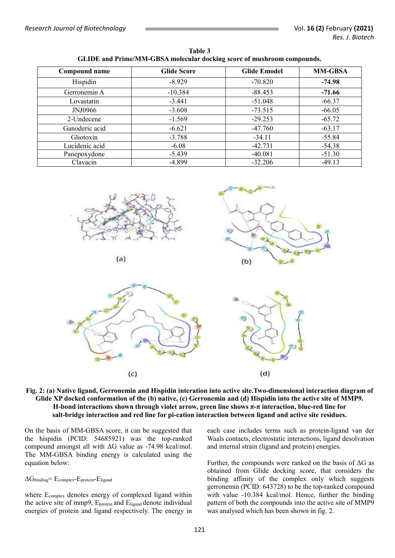**Table 3 GLIDE and Prime/MM-GBSA molecular docking score of mushroom compounds.**

| Compound name  | <b>Glide Score</b> | <b>Glide Emodel</b> | <b>MM-GBSA</b> |  |
|----------------|--------------------|---------------------|----------------|--|
| Hispidin       | $-8.929$           | $-70.820$           | $-74.98$       |  |
| Gerronemin A   | $-10.384$          | $-88.453$           | $-71.66$       |  |
| Lovastatin     | $-3.441$           | $-51.048$           | $-66.37$       |  |
| JNJ0966        | $-3.608$           | $-73.515$           | $-66.05$       |  |
| 2-Undecene     | $-1.569$           | $-29.253$           | $-65.72$       |  |
| Ganoderic acid | $-6.621$           | $-47.760$           | $-63.17$       |  |
| Gliotoxin      | $-3.788$           | $-34.11$            | $-55.84$       |  |
| Lucidenic acid | $-6.08$            | $-42.731$           | $-54.38$       |  |
| Panepoxydone   | $-5.439$           | $-40.081$           | $-51.30$       |  |
| Clavacin       | $-4.899$           | $-32.206$           | $-49.13$       |  |



$$
(a)
$$





#### **Fig. 2: (a) Native ligand, Gerronemin and Hispidin interation into active site.Two-dimensional interaction diagram of Glide XP docked conformation of the (b) native, (c) Gerronemin and (d) Hispidin into the active site of MMP9. H-bond interactions shown through violet arrow, green line shows π-π interaction, blue-red line for salt-bridge interaction and red line for pi-cation interaction between ligand and active site residues.**

On the basis of MM-GBSA score, it can be suggested that the hispidin (PCID: 54685921) was the top-ranked compound amongst all with ΔG value as -74.98 kcal/mol. The MM-GBSA binding energy is calculated using the equation below:

## $\Delta G_{\text{binding}}$ = E<sub>complex</sub>-E<sub>protein</sub>-E<sub>ligand</sub>

where Ecomplex denotes energy of complexed ligand within the active site of mmp9, Eprotein and Eligand denote individual energies of protein and ligand respectively. The energy in

each case includes terms such as protein-ligand van der Waals contacts, electrostatic interactions, ligand desolvation and internal strain (ligand and protein) energies.

Further, the compounds were ranked on the basis of  $\Delta G$  as obtained from Glide docking score, that considers the binding affinity of the complex only which suggests gerronemin (PCID: 643728) to be the top-ranked compound with value -10.384 kcal/mol. Hence, further the binding pattern of both the compounds into the active site of MMP9 was analysed which has been shown in fig. 2.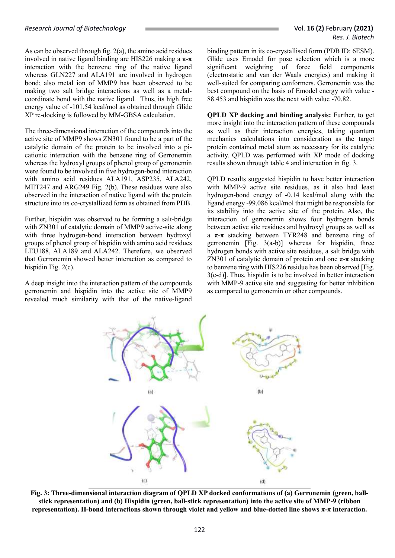As can be observed through fig. 2(a), the amino acid residues involved in native ligand binding are HIS226 making a π-π interaction with the benzene ring of the native ligand whereas GLN227 and ALA191 are involved in hydrogen bond; also metal ion of MMP9 has been observed to be making two salt bridge interactions as well as a metalcoordinate bond with the native ligand. Thus, its high free energy value of -101.54 kcal/mol as obtained through Glide XP re-docking is followed by MM-GBSA calculation.

The three-dimensional interaction of the compounds into the active site of MMP9 shows ZN301 found to be a part of the catalytic domain of the protein to be involved into a picationic interaction with the benzene ring of Gerronemin whereas the hydroxyl groups of phenol group of gerronemin were found to be involved in five hydrogen-bond interaction with amino acid residues ALA191, ASP235, ALA242, MET247 and ARG249 Fig. 2(b). These residues were also observed in the interaction of native ligand with the protein structure into its co-crystallized form as obtained from PDB.

Further, hispidin was observed to be forming a salt-bridge with ZN301 of catalytic domain of MMP9 active-site along with three hydrogen-bond interaction between hydroxyl groups of phenol group of hispidin with amino acid residues LEU188, ALA189 and ALA242. Therefore, we observed that Gerronemin showed better interaction as compared to hispidin Fig. 2(c).

A deep insight into the interaction pattern of the compounds gerronemin and hispidin into the active site of MMP9 revealed much similarity with that of the native-ligand binding pattern in its co-crystallised form (PDB ID: 6ESM). Glide uses Emodel for pose selection which is a more significant weighting of force field components (electrostatic and van der Waals energies) and making it well-suited for comparing conformers. Gerronemin was the best compound on the basis of Emodel energy with value - 88.453 and hispidin was the next with value -70.82.

**QPLD XP docking and binding analysis:** Further, to get more insight into the interaction pattern of these compounds as well as their interaction energies, taking quantum mechanics calculations into consideration as the target protein contained metal atom as necessary for its catalytic activity. QPLD was performed with XP mode of docking results shown through table 4 and interaction in fig. 3.

QPLD results suggested hispidin to have better interaction with MMP-9 active site residues, as it also had least hydrogen-bond energy of -0.14 kcal/mol along with the ligand energy -99.086 kcal/mol that might be responsible for its stability into the active site of the protein. Also, the interaction of gerronemin shows four hydrogen bonds between active site residues and hydroxyl groups as well as a π-π stacking between TYR248 and benzene ring of gerronemin  $[Fig. 3(a-b)]$  whereas for hispidin, three hydrogen bonds with active site residues, a salt bridge with ZN301 of catalytic domain of protein and one  $π$ -π stacking to benzene ring with HIS226 residue has been observed [Fig. 3(c-d)]. Thus, hispidin is to be involved in better interaction with MMP-9 active site and suggesting for better inhibition as compared to gerronemin or other compounds.



**Fig. 3: Three-dimensional interaction diagram of QPLD XP docked conformations of (a) Gerronemin (green, ballstick representation) and (b) Hispidin (green, ball-stick representation) into the active site of MMP-9 (ribbon representation). H-bond interactions shown through violet and yellow and blue-dotted line shows π-π interaction.**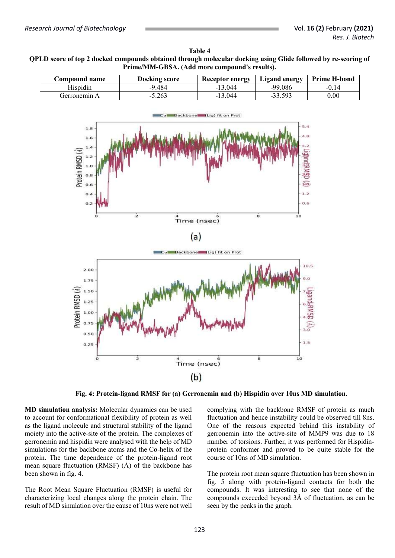## **Table 4 QPLD score of top 2 docked compounds obtained through molecular docking using Glide followed by re-scoring of Prime/MM-GBSA. (Add more compound's results).**

| C <b>ompound name</b> | <b>Docking score</b> | <b>Receptor energy</b> | Ligand energy | <b>Prime H-bond</b> |  |
|-----------------------|----------------------|------------------------|---------------|---------------------|--|
| Hispidin              | $-9.484$             | $-13.044$              | $-99.086$     | $-0.14$             |  |
| Gerronemin A          | $-5.263$             | -13 044                | $-33.59?$     | $0.00\,$            |  |



**Fig. 4: Protein-ligand RMSF for (a) Gerronemin and (b) Hispidin over 10ns MD simulation.**

**MD simulation analysis:** Molecular dynamics can be used to account for conformational flexibility of protein as well as the ligand molecule and structural stability of the ligand moiety into the active-site of the protein. The complexes of gerronemin and hispidin were analysed with the help of MD simulations for the backbone atoms and the  $Ca$ -helix of the protein. The time dependence of the protein-ligand root mean square fluctuation (RMSF) (Å) of the backbone has been shown in fig. 4.

The Root Mean Square Fluctuation (RMSF) is useful for characterizing local changes along the protein chain. The result of MD simulation over the cause of 10ns were not well

complying with the backbone RMSF of protein as much fluctuation and hence instability could be observed till 8ns. One of the reasons expected behind this instability of gerronemin into the active-site of MMP9 was due to 18 number of torsions. Further, it was performed for Hispidinprotein conformer and proved to be quite stable for the course of 10ns of MD simulation.

The protein root mean square fluctuation has been shown in fig. 5 along with protein-ligand contacts for both the compounds. It was interesting to see that none of the compounds exceeded beyond 3Å of fluctuation, as can be seen by the peaks in the graph.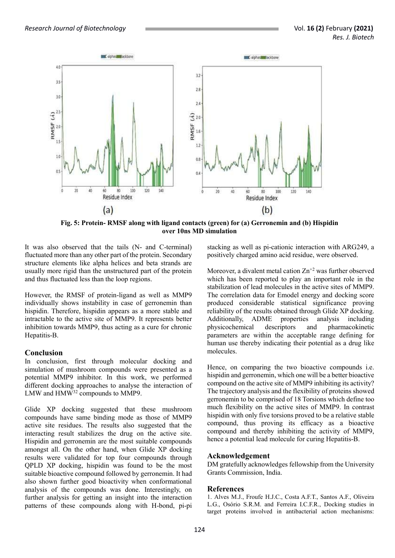

**Fig. 5: Protein- RMSF along with ligand contacts (green) for (a) Gerronemin and (b) Hispidin over 10ns MD simulation**

It was also observed that the tails (N- and C-terminal) fluctuated more than any other part of the protein. Secondary structure elements like alpha helices and beta strands are usually more rigid than the unstructured part of the protein and thus fluctuated less than the loop regions.

However, the RMSF of protein-ligand as well as MMP9 individually shows instability in case of gerronemin than hispidin. Therefore, hispidin appears as a more stable and intractable to the active site of MMP9. It represents better inhibition towards MMP9, thus acting as a cure for chronic Hepatitis-B.

## **Conclusion**

In conclusion, first through molecular docking and simulation of mushroom compounds were presented as a potential MMP9 inhibitor. In this work, we performed different docking approaches to analyse the interaction of LMW and HMW<sup>32</sup> compounds to MMP9.

Glide XP docking suggested that these mushroom compounds have same binding mode as those of MMP9 active site residues. The results also suggested that the interacting result stabilizes the drug on the active site. Hispidin and gerronemin are the most suitable compounds amongst all. On the other hand, when Glide XP docking results were validated for top four compounds through QPLD XP docking, hispidin was found to be the most suitable bioactive compound followed by gerronemin. It had also shown further good bioactivity when conformational analysis of the compounds was done. Interestingly, on further analysis for getting an insight into the interaction patterns of these compounds along with H-bond, pi-pi stacking as well as pi-cationic interaction with ARG249, a positively charged amino acid residue, were observed.

Moreover, a divalent metal cation  $\text{Zn}^{+2}$  was further observed which has been reported to play an important role in the stabilization of lead molecules in the active sites of MMP9. The correlation data for Emodel energy and docking score produced considerable statistical significance proving reliability of the results obtained through Glide XP docking. Additionally, ADME properties analysis including physicochemical descriptors and pharmacokinetic parameters are within the acceptable range defining for human use thereby indicating their potential as a drug like molecules.

Hence, on comparing the two bioactive compounds i.e. hispidin and gerronemin, which one will be a better bioactive compound on the active site of MMP9 inhibiting its activity? The trajectory analysis and the flexibility of proteins showed gerronemin to be comprised of 18 Torsions which define too much flexibility on the active sites of MMP9. In contrast hispidin with only five torsions proved to be a relative stable compound, thus proving its efficacy as a bioactive compound and thereby inhibiting the activity of MMP9, hence a potential lead molecule for curing Hepatitis-B.

## **Acknowledgement**

DM gratefully acknowledges fellowship from the University Grants Commission, India.

## **References**

1. Alves M.J., Froufe H.J.C., Costa A.F.T., Santos A.F., Oliveira L.G., Osório S.R.M. and Ferreira I.C.F.R., Docking studies in target proteins involved in antibacterial action mechanisms: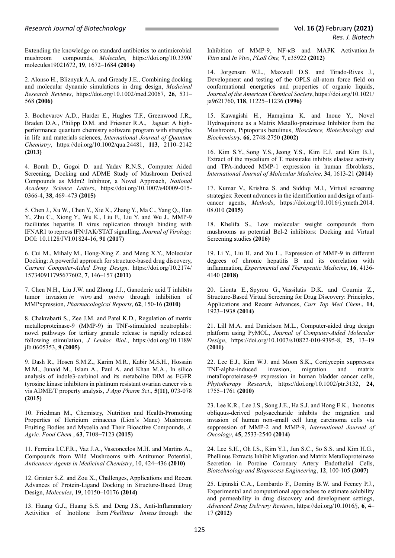#### *Research Journal of Biotechnology* Vol. **16 (2)** February **(2021)**

Extending the knowledge on standard antibiotics to antimicrobial mushroom compounds, *Molecules,* [https://doi.org/10.3390/](https://doi.org/10.3390/%20molecules19021672)  [molecules19021672,](https://doi.org/10.3390/%20molecules19021672) **19**, 1672–1684 **(2014)** 

2. Alonso H., Bliznyuk A.A. and Gready J.E., Combining docking and molecular dynamic simulations in drug design, *Medicinal Research Reviews*, [https://doi.org/10.1002/med.20067,](https://doi.org/10.1002/med.20067) **26**, 531– 568 **(2006)**

3. Bochevarov A.D., Harder E., Hughes T.F., Greenwood J.R., Braden D.A., Philipp D.M. and Friesner R.A., Jaguar: A highperformance quantum chemistry software program with strengths in life and materials sciences, *International Journal of Quantum Chemistry*, [https://doi.org/10.1002/qua.24481,](https://doi.org/10.1002/qua.24481) **113**, 2110–2142 **(2013)**

4. Borah D., Gogoi D. and Yadav R.N.S., Computer Aided Screening, Docking and ADME Study of Mushroom Derived Compounds as Mdm2 Inhibitor, a Novel Approach, *National Academy Science Letters*, [https://doi.org/10.1007/s40009-015-](https://doi.org/10.1007/s40009-015-0366-4) [0366-4,](https://doi.org/10.1007/s40009-015-0366-4) **38**, 469–473 **(2015)**

5. Chen J., Xu W., Chen Y., Xie X., Zhang Y., Ma C., Yang Q., Han Y., Zhu C., Xiong Y., Wu K., Liu F., Liu Y. and Wu J., MMP-9 facilitates hepatitis B virus replication through binding with IFNAR1 to repress IFN/JAK/STAT signalling, *Journal of Virology,* DOI: 10.1128/JVI.01824-16, **91 (2017)**

6. Cui M., Mihaly M., Hong-Xing Z. and Meng X.Y., Molecular Docking: A powerful approach for structure-based drug discovery, *Current Computer-Aided Drug Design,* [https://doi.org/10.2174/](https://doi.org/10.2174/%20157340911795677602)  [157340911795677602,](https://doi.org/10.2174/%20157340911795677602) **7**, 146–157 **(2011)**

7. Chen N.H., Liu J.W. and Zhong J.J., Ganoderic acid T inhibits tumor invasion *in vitro* and *invivo* through inhibition of MMPxpression, *Pharmacological Reports*, **62**, 150-16 **(2010)**

8. Chakrabarti S., Zee J.M. and Patel K.D., Regulation of matrix metalloproteinase-9 (MMP-9) in TNF-stimulated neutrophils : novel pathways for tertiary granule release is rapidly released following stimulation, *[J Leukoc Biol.](https://www.ncbi.nlm.nih.gov/pubmed/16275891)*, [https://doi.org/10.1189/](https://doi.org/10.1189/%20jlb.0605353)  [jlb.0605353,](https://doi.org/10.1189/%20jlb.0605353) **9 (2005)**

9. Dash R., Hosen S.M.Z., Karim M.R., Kabir M.S.H., Hossain M.M., Junaid M., Islam A., Paul A. and Khan M.A., In silico analysis of indole3-carbinol and its metabolite DIM as EGFR tyrosine kinase inhibitors in platinum resistant ovarian cancer vis a vis ADME/T property analysis, *J App Pharm Sci*., **5(11),** 073-078 **(2015)**

10. Friedman M., Chemistry, Nutrition and Health-Promoting Properties of Hericium erinaceus (Lion's Mane) Mushroom Fruiting Bodies and Mycelia and Their Bioactive Compounds, *J. Agric. Food Chem.*, **63**, 7108−7123 **(2015)**

11. Ferreira I.C.F.R., Vaz J.A., Vasconcelos M.H. and Martins A., Compounds from Wild Mushrooms with Antitumor Potential, *Anticancer Agents in Medicinal Chemistry*, 10, 424–436 **(2010)**

12. Grinter S.Z. and Zou X., Challenges, Applications and Recent Advances of Protein-Ligand Docking in Structure-Based Drug Design, *Molecules*, **19**, 10150–10176 **(2014)**

13. Huang G.J., Huang S.S. and Deng J.S., Anti-Inflammatory Activities of Inotilone from *Phellinus linteus* through the Inhibition of MMP-9, NF-κB and MAPK Activation *In Vitro* and *In Vivo*, *PLoS One,* **7**, e35922 **(2012)**

14. Jorgensen W.L., Maxwell D.S. and Tirado-Rives J., Development and testing of the OPLS all-atom force field on conformational energetics and properties of organic liquids, *Journal of the American Chemical Society*, [https://doi.org/10.1021/](https://doi.org/10.1021/%20ja9621760)  [ja9621760,](https://doi.org/10.1021/%20ja9621760) **118**, 11225–11236 **(1996)**

15. Kawagishi H., Hamajima K. and Inoue Y., Novel Hydroquinone as a Matrix Metallo-proteinase Inhibitor from the Mushroom, Piptoporus betulinus, *Bioscience, Biotechnology and Biochemistry,* **66**, 2748-2750 **(2002)**

16. Kim S.Y., Song Y.S., Jeong Y.S., Kim E.J. and Kim B.J., Extract of the mycelium of T. matsutake inhibits elastase activity and TPA-induced MMP-1 expression in human fibroblasts, *International Journal of Molecular Medicine,* **34**, 1613-21 **(2014)**

17. Kumar V., Krishna S. and Siddiqi M.I., Virtual screening strategies: Recent advances in the identification and design of anticancer agents, *Methods*, [https://doi.org/10.1016/j.ymeth.2014.](https://doi.org/10.1016/j.ymeth.2014.%2008.010)  [08.010](https://doi.org/10.1016/j.ymeth.2014.%2008.010) **(2015)**

18. Khelifa S., Low molecular weight compounds from mushrooms as potential Bcl-2 inhibitors: Docking and Virtual Screening studies **(2016)**

19. Li Y., Liu H. and Xu L., Expression of MMP-9 in different degrees of chronic hepatitis B and its correlation with inflammation, *Experimental and Therapeutic Medicine*, **16**, 4136- 4140 **(2018)**

20. Lionta E., Spyrou G., Vassilatis D.K. and Cournia Z., Structure-Based Virtual Screening for Drug Discovery: Principles, Applications and Recent Advances, *Curr Top Med Chem*., **14**, 1923–1938 **(2014)**

21. Lill M.A. and Danielson M.L., Computer-aided drug design platform using PyMOL, *Journal of Computer-Aided Molecular Design*, [https://doi.org/10.1007/s10822-010-9395-8,](https://doi.org/10.1007/s10822-010-9395-8) **25**, 13–19 **(2011)**

22. Lee E.J., Kim W.J. and Moon S.K., Cordycepin suppresses TNF-alpha-induced invasion, migration and matrix metalloproteinase-9 expression in human bladder cancer cells, *Phytotherapy Research*, [https://doi.org/10.1002/ptr.3132,](https://doi.org/10.1002/ptr.3132) **24,** 1755–1761 **(2010)**

23. Lee K.R., Lee J.S., Song J.E., Ha S.J. and Hong E.K., Inonotus obliquus-derived polysaccharide inhibits the migration and invasion of human non-small cell lung carcinoma cells via suppression of MMP-2 and MMP-9, *International Journal of Oncology*, **45**, 2533-2540 **(2014)**

24. Lee S.H., Oh I.S., Kim Y.I., Jun S.C., So S.S. and Kim H.G., Phellinus Extracts Inhibit Migration and Matrix Metalloproteinase Secretion in Porcine Coronary Artery Endothelial Cells, *Biotechnology and Bioprocess Engineering*, **12**, 100-105 **(2007)**

25. Lipinski C.A., Lombardo F., Dominy B.W. and Feeney P.J., Experimental and computational approaches to estimate solubility and permeability in drug discovery and development settings, *Advanced Drug Delivery Reviews*, [https://doi.org/10.1016/j,](https://doi.org/10.1016/j) **6**, 4– 17 **(2012)**